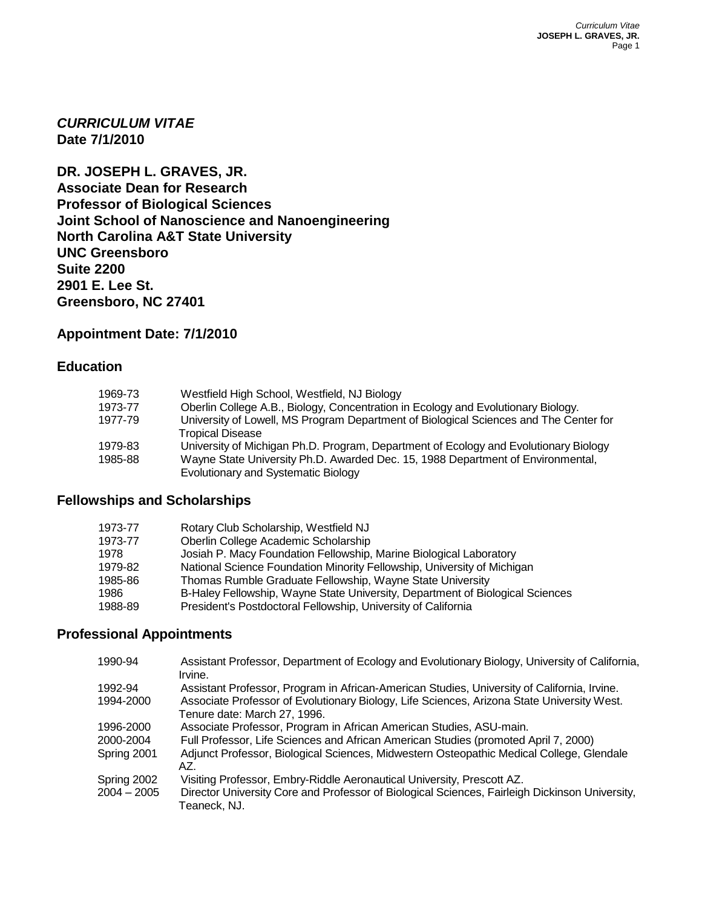*CURRICULUM VITAE* **Date 7/1/2010**

**DR. JOSEPH L. GRAVES, JR. Associate Dean for Research Professor of Biological Sciences Joint School of Nanoscience and Nanoengineering North Carolina A&T State University UNC Greensboro Suite 2200 2901 E. Lee St. Greensboro, NC 27401**

# **Appointment Date: 7/1/2010**

## **Education**

| 1969-73 | Westfield High School, Westfield, NJ Biology                                                                           |
|---------|------------------------------------------------------------------------------------------------------------------------|
| 1973-77 | Oberlin College A.B., Biology, Concentration in Ecology and Evolutionary Biology.                                      |
| 1977-79 | University of Lowell, MS Program Department of Biological Sciences and The Center for<br>Tropical Disease              |
| 1979-83 | University of Michigan Ph.D. Program, Department of Ecology and Evolutionary Biology                                   |
| 1985-88 | Wayne State University Ph.D. Awarded Dec. 15, 1988 Department of Environmental,<br>Evolutionary and Systematic Biology |

# **Fellowships and Scholarships**

| 1973-77 | Rotary Club Scholarship, Westfield NJ                                         |
|---------|-------------------------------------------------------------------------------|
| 1973-77 | Oberlin College Academic Scholarship                                          |
| 1978    | Josiah P. Macy Foundation Fellowship, Marine Biological Laboratory            |
| 1979-82 | National Science Foundation Minority Fellowship, University of Michigan       |
| 1985-86 | Thomas Rumble Graduate Fellowship, Wayne State University                     |
| 1986    | B-Haley Fellowship, Wayne State University, Department of Biological Sciences |
| 1988-89 | President's Postdoctoral Fellowship, University of California                 |

# **Professional Appointments**

| 1990-94       | Assistant Professor, Department of Ecology and Evolutionary Biology, University of California,<br>Irvine.                  |
|---------------|----------------------------------------------------------------------------------------------------------------------------|
| 1992-94       | Assistant Professor, Program in African-American Studies, University of California, Irvine.                                |
| 1994-2000     | Associate Professor of Evolutionary Biology, Life Sciences, Arizona State University West.<br>Tenure date: March 27, 1996. |
| 1996-2000     | Associate Professor, Program in African American Studies, ASU-main.                                                        |
| 2000-2004     | Full Professor, Life Sciences and African American Studies (promoted April 7, 2000)                                        |
| Spring 2001   | Adjunct Professor, Biological Sciences, Midwestern Osteopathic Medical College, Glendale<br>AZ.                            |
| Spring 2002   | Visiting Professor, Embry-Riddle Aeronautical University, Prescott AZ.                                                     |
| $2004 - 2005$ | Director University Core and Professor of Biological Sciences, Fairleigh Dickinson University,<br>Teaneck, NJ.             |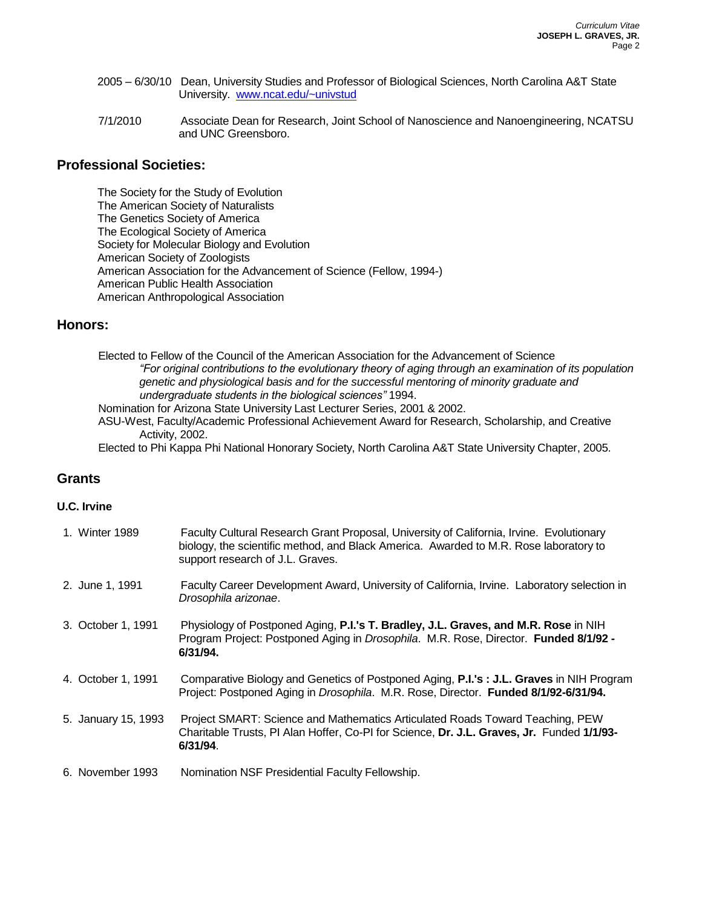- 2005 6/30/10 Dean, University Studies and Professor of Biological Sciences, North Carolina A&T State University. [www.ncat.edu/~univstud](http://www.ncat.edu/~univstud)
- 7/1/2010 Associate Dean for Research, Joint School of Nanoscience and Nanoengineering, NCATSU and UNC Greensboro.

## **Professional Societies:**

The Society for the Study of Evolution The American Society of Naturalists The Genetics Society of America The Ecological Society of America Society for Molecular Biology and Evolution American Society of Zoologists American Association for the Advancement of Science (Fellow, 1994-) American Public Health Association American Anthropological Association

### **Honors:**

Elected to Fellow of the Council of the American Association for the Advancement of Science *"For original contributions to the evolutionary theory of aging through an examination of its population genetic and physiological basis and for the successful mentoring of minority graduate and undergraduate students in the biological sciences"* 1994.

Nomination for Arizona State University Last Lecturer Series, 2001 & 2002.

ASU-West, Faculty/Academic Professional Achievement Award for Research, Scholarship, and Creative Activity, 2002.

Elected to Phi Kappa Phi National Honorary Society, North Carolina A&T State University Chapter, 2005.

# **Grants**

### **U.C. Irvine**

| 1. Winter 1989      | Faculty Cultural Research Grant Proposal, University of California, Irvine. Evolutionary<br>biology, the scientific method, and Black America. Awarded to M.R. Rose laboratory to<br>support research of J.L. Graves. |
|---------------------|-----------------------------------------------------------------------------------------------------------------------------------------------------------------------------------------------------------------------|
| 2. June 1, 1991     | Faculty Career Development Award, University of California, Irvine. Laboratory selection in<br>Drosophila arizonae.                                                                                                   |
| 3. October 1, 1991  | Physiology of Postponed Aging, P.I.'s T. Bradley, J.L. Graves, and M.R. Rose in NIH<br>Program Project: Postponed Aging in Drosophila. M.R. Rose, Director. Funded 8/1/92 -<br>6/31/94.                               |
| 4. October 1, 1991  | Comparative Biology and Genetics of Postponed Aging, <b>P.I.'s: J.L. Graves</b> in NIH Program<br>Project: Postponed Aging in Drosophila. M.R. Rose, Director. Funded 8/1/92-6/31/94.                                 |
| 5. January 15, 1993 | Project SMART: Science and Mathematics Articulated Roads Toward Teaching, PEW<br>Charitable Trusts, PI Alan Hoffer, Co-PI for Science, Dr. J.L. Graves, Jr. Funded 1/1/93-<br>6/31/94.                                |
| 6. November 1993    | Nomination NSF Presidential Faculty Fellowship.                                                                                                                                                                       |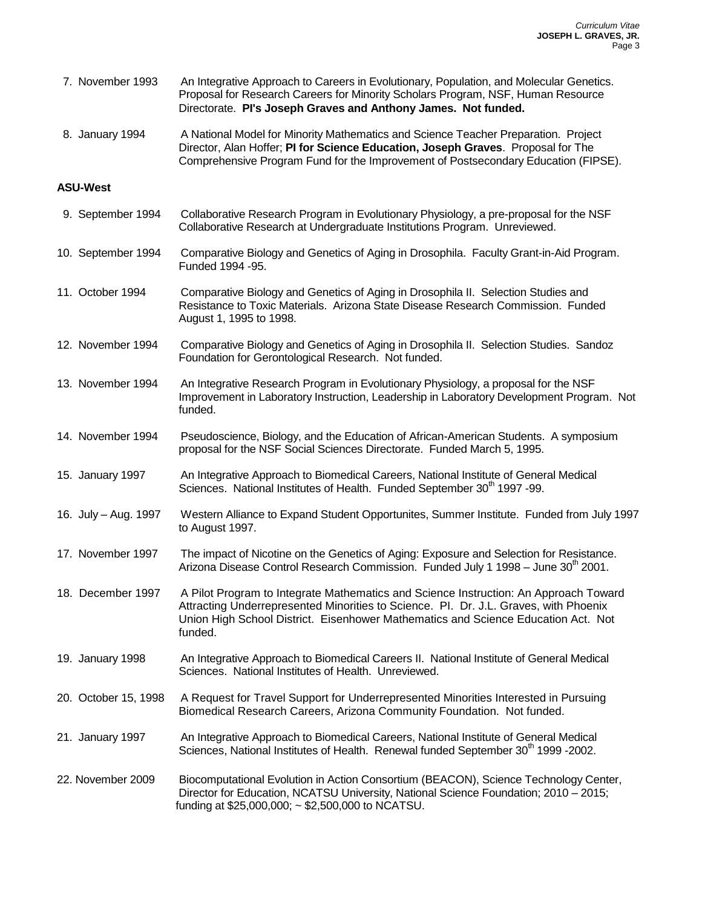| 7. November 1993     | An Integrative Approach to Careers in Evolutionary, Population, and Molecular Genetics.<br>Proposal for Research Careers for Minority Scholars Program, NSF, Human Resource<br>Directorate. PI's Joseph Graves and Anthony James. Not funded.                                |
|----------------------|------------------------------------------------------------------------------------------------------------------------------------------------------------------------------------------------------------------------------------------------------------------------------|
| 8. January 1994      | A National Model for Minority Mathematics and Science Teacher Preparation. Project<br>Director, Alan Hoffer; PI for Science Education, Joseph Graves. Proposal for The<br>Comprehensive Program Fund for the Improvement of Postsecondary Education (FIPSE).                 |
| <b>ASU-West</b>      |                                                                                                                                                                                                                                                                              |
| 9. September 1994    | Collaborative Research Program in Evolutionary Physiology, a pre-proposal for the NSF<br>Collaborative Research at Undergraduate Institutions Program. Unreviewed.                                                                                                           |
| 10. September 1994   | Comparative Biology and Genetics of Aging in Drosophila. Faculty Grant-in-Aid Program.<br>Funded 1994 - 95.                                                                                                                                                                  |
| 11. October 1994     | Comparative Biology and Genetics of Aging in Drosophila II. Selection Studies and<br>Resistance to Toxic Materials. Arizona State Disease Research Commission. Funded<br>August 1, 1995 to 1998.                                                                             |
| 12. November 1994    | Comparative Biology and Genetics of Aging in Drosophila II. Selection Studies. Sandoz<br>Foundation for Gerontological Research. Not funded.                                                                                                                                 |
| 13. November 1994    | An Integrative Research Program in Evolutionary Physiology, a proposal for the NSF<br>Improvement in Laboratory Instruction, Leadership in Laboratory Development Program. Not<br>funded.                                                                                    |
| 14. November 1994    | Pseudoscience, Biology, and the Education of African-American Students. A symposium<br>proposal for the NSF Social Sciences Directorate. Funded March 5, 1995.                                                                                                               |
| 15. January 1997     | An Integrative Approach to Biomedical Careers, National Institute of General Medical<br>Sciences. National Institutes of Health. Funded September 30 <sup>th</sup> 1997 -99.                                                                                                 |
| 16. July - Aug. 1997 | Western Alliance to Expand Student Opportunites, Summer Institute. Funded from July 1997<br>to August 1997.                                                                                                                                                                  |
| 17. November 1997    | The impact of Nicotine on the Genetics of Aging: Exposure and Selection for Resistance.<br>Arizona Disease Control Research Commission. Funded July 1 1998 – June 30 <sup>th</sup> 2001.                                                                                     |
| 18. December 1997    | A Pilot Program to Integrate Mathematics and Science Instruction: An Approach Toward<br>Attracting Underrepresented Minorities to Science. Pl. Dr. J.L. Graves, with Phoenix<br>Union High School District. Eisenhower Mathematics and Science Education Act. Not<br>funded. |
| 19. January 1998     | An Integrative Approach to Biomedical Careers II. National Institute of General Medical<br>Sciences. National Institutes of Health. Unreviewed.                                                                                                                              |
| 20. October 15, 1998 | A Request for Travel Support for Underrepresented Minorities Interested in Pursuing<br>Biomedical Research Careers, Arizona Community Foundation. Not funded.                                                                                                                |
| 21. January 1997     | An Integrative Approach to Biomedical Careers, National Institute of General Medical<br>Sciences, National Institutes of Health. Renewal funded September 30 <sup>th</sup> 1999 -2002.                                                                                       |
| 22. November 2009    | Biocomputational Evolution in Action Consortium (BEACON), Science Technology Center,<br>Director for Education, NCATSU University, National Science Foundation; 2010 - 2015;<br>funding at \$25,000,000; ~ \$2,500,000 to NCATSU.                                            |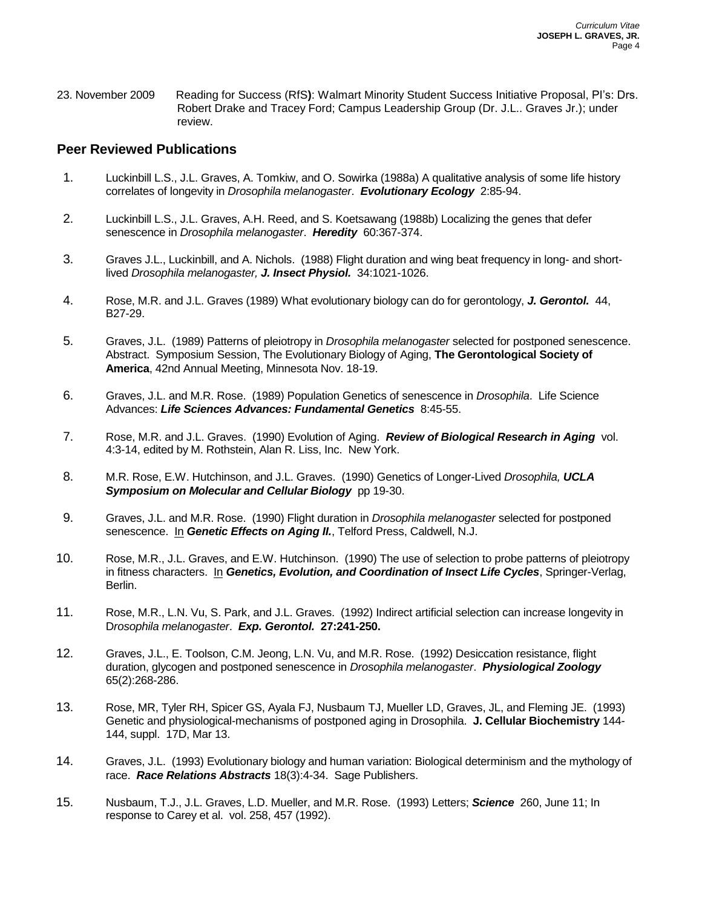23. November 2009 Reading for Success (RfS**)**: Walmart Minority Student Success Initiative Proposal, PI's: Drs. Robert Drake and Tracey Ford; Campus Leadership Group (Dr. J.L.. Graves Jr.); under review.

## **Peer Reviewed Publications**

- 1. Luckinbill L.S., J.L. Graves, A. Tomkiw, and O. Sowirka (1988a) A qualitative analysis of some life history correlates of longevity in *Drosophila melanogaster*. *Evolutionary Ecology* 2:85-94.
- 2. Luckinbill L.S., J.L. Graves, A.H. Reed, and S. Koetsawang (1988b) Localizing the genes that defer senescence in *Drosophila melanogaster*. *Heredity* 60:367-374.
- 3. Graves J.L., Luckinbill, and A. Nichols. (1988) Flight duration and wing beat frequency in long- and shortlived *Drosophila melanogaster, J. Insect Physiol.* 34:1021-1026.
- 4. Rose, M.R. and J.L. Graves (1989) What evolutionary biology can do for gerontology, *J. Gerontol.* 44, B27-29.
- 5. Graves, J.L. (1989) Patterns of pleiotropy in *Drosophila melanogaster* selected for postponed senescence. Abstract. Symposium Session, The Evolutionary Biology of Aging, **The Gerontological Society of America**, 42nd Annual Meeting, Minnesota Nov. 18-19.
- 6. Graves, J.L. and M.R. Rose. (1989) Population Genetics of senescence in *Drosophila*. Life Science Advances: *Life Sciences Advances: Fundamental Genetics* 8:45-55.
- 7. Rose, M.R. and J.L. Graves. (1990) Evolution of Aging. *Review of Biological Research in Aging* vol. 4:3-14, edited by M. Rothstein, Alan R. Liss, Inc. New York.
- 8. M.R. Rose, E.W. Hutchinson, and J.L. Graves. (1990) Genetics of Longer-Lived *Drosophila, UCLA Symposium on Molecular and Cellular Biology* pp 19-30.
- 9. Graves, J.L. and M.R. Rose. (1990) Flight duration in *Drosophila melanogaster* selected for postponed senescence. In *Genetic Effects on Aging II.*, Telford Press, Caldwell, N.J.
- 10. Rose, M.R., J.L. Graves, and E.W. Hutchinson. (1990) The use of selection to probe patterns of pleiotropy in fitness characters. In *Genetics, Evolution, and Coordination of Insect Life Cycles*, Springer-Verlag, Berlin.
- 11. Rose, M.R., L.N. Vu, S. Park, and J.L. Graves. (1992) Indirect artificial selection can increase longevity in D*rosophila melanogaster*. *Exp. Gerontol.* **27:241-250.**
- 12. Graves, J.L., E. Toolson, C.M. Jeong, L.N. Vu, and M.R. Rose. (1992) Desiccation resistance, flight duration, glycogen and postponed senescence in *Drosophila melanogaster*. *Physiological Zoology* 65(2):268-286.
- 13. Rose, MR, Tyler RH, Spicer GS, Ayala FJ, Nusbaum TJ, Mueller LD, Graves, JL, and Fleming JE. (1993) Genetic and physiological-mechanisms of postponed aging in Drosophila. **J. Cellular Biochemistry** 144- 144, suppl. 17D, Mar 13.
- 14. Graves, J.L. (1993) Evolutionary biology and human variation: Biological determinism and the mythology of race. *Race Relations Abstracts* 18(3):4-34. Sage Publishers.
- 15. Nusbaum, T.J., J.L. Graves, L.D. Mueller, and M.R. Rose. (1993) Letters; *Science* 260, June 11; In response to Carey et al. vol. 258, 457 (1992).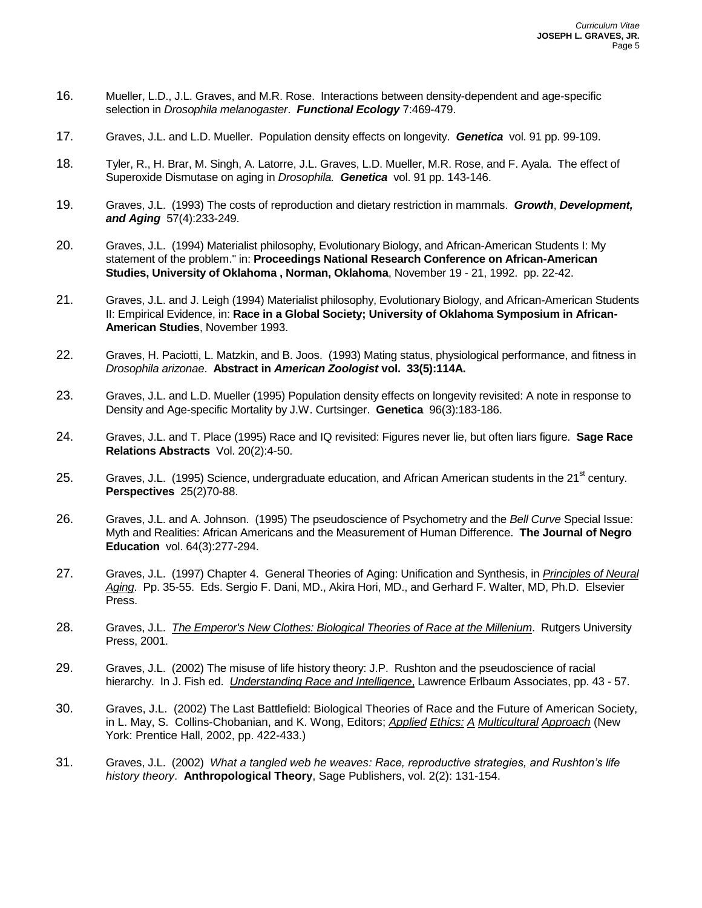- 16. Mueller, L.D., J.L. Graves, and M.R. Rose. Interactions between density-dependent and age-specific selection in *Drosophila melanogaster*. *Functional Ecology* 7:469-479.
- 17. Graves, J.L. and L.D. Mueller. Population density effects on longevity. *Genetica* vol. 91 pp. 99-109.
- 18. Tyler, R., H. Brar, M. Singh, A. Latorre, J.L. Graves, L.D. Mueller, M.R. Rose, and F. Ayala. The effect of Superoxide Dismutase on aging in *Drosophila. Genetica* vol. 91 pp. 143-146.
- 19. Graves, J.L. (1993) The costs of reproduction and dietary restriction in mammals. *Growth*, *Development, and Aging* 57(4):233-249.
- 20. Graves, J.L. (1994) Materialist philosophy, Evolutionary Biology, and African-American Students I: My statement of the problem." in: **Proceedings National Research Conference on African-American Studies, University of Oklahoma , Norman, Oklahoma**, November 19 - 21, 1992. pp. 22-42.
- 21. Graves, J.L. and J. Leigh (1994) Materialist philosophy, Evolutionary Biology, and African-American Students II: Empirical Evidence, in: **Race in a Global Society; University of Oklahoma Symposium in African-American Studies**, November 1993.
- 22. Graves, H. Paciotti, L. Matzkin, and B. Joos. (1993) Mating status, physiological performance, and fitness in *Drosophila arizonae*. **Abstract in** *American Zoologist* **vol. 33(5):114A.**
- 23. Graves, J.L. and L.D. Mueller (1995) Population density effects on longevity revisited: A note in response to Density and Age-specific Mortality by J.W. Curtsinger. **Genetica** 96(3):183-186.
- 24. Graves, J.L. and T. Place (1995) Race and IQ revisited: Figures never lie, but often liars figure. **Sage Race Relations Abstracts** Vol. 20(2):4-50.
- 25. Graves, J.L. (1995) Science, undergraduate education, and African American students in the 21<sup>st</sup> century. **Perspectives** 25(2)70-88.
- 26. Graves, J.L. and A. Johnson. (1995) The pseudoscience of Psychometry and the *Bell Curve* Special Issue: Myth and Realities: African Americans and the Measurement of Human Difference. **The Journal of Negro Education** vol. 64(3):277-294.
- 27. Graves, J.L. (1997) Chapter 4. General Theories of Aging: Unification and Synthesis, in *Principles of Neural Aging*. Pp. 35-55. Eds. Sergio F. Dani, MD., Akira Hori, MD., and Gerhard F. Walter, MD, Ph.D. Elsevier Press.
- 28. Graves, J.L. *The Emperor's New Clothes: Biological Theories of Race at the Millenium*. Rutgers University Press, 2001.
- 29. Graves, J.L. (2002) The misuse of life history theory: J.P. Rushton and the pseudoscience of racial hierarchy. In J. Fish ed. *Understanding Race and Intelligence*, Lawrence Erlbaum Associates, pp. 43 - 57.
- 30. Graves, J.L. (2002) The Last Battlefield: Biological Theories of Race and the Future of American Society, in L. May, S. Collins-Chobanian, and K. Wong, Editors; *Applied Ethics: A Multicultural Approach* (New York: Prentice Hall, 2002, pp. 422-433.)
- 31. Graves, J.L. (2002) *What a tangled web he weaves: Race, reproductive strategies, and Rushton's life history theory*. **Anthropological Theory**, Sage Publishers, vol. 2(2): 131-154.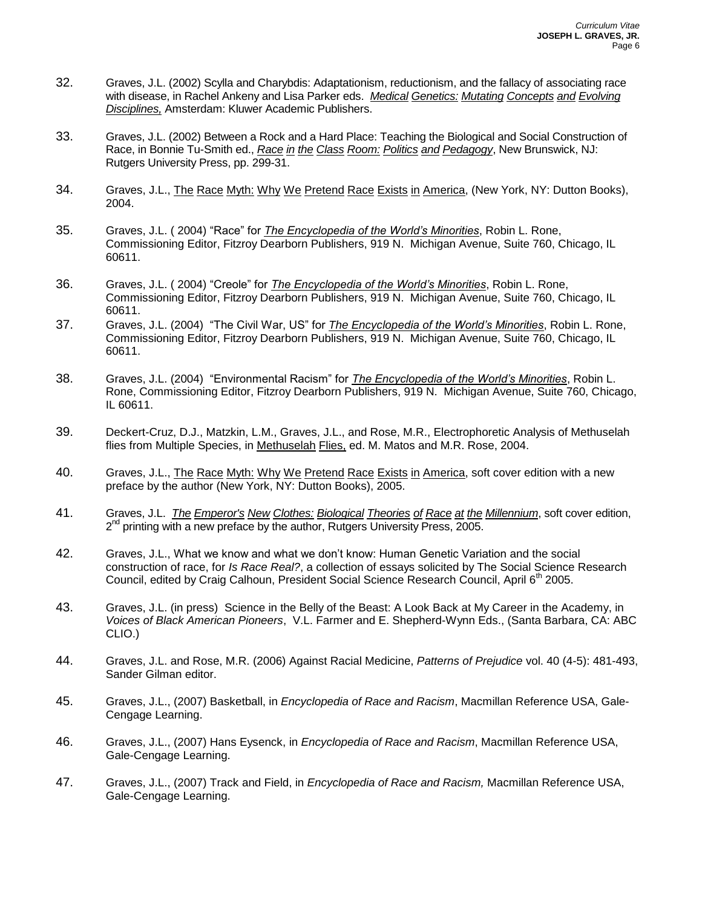- 32. Graves, J.L. (2002) Scylla and Charybdis: Adaptationism, reductionism, and the fallacy of associating race with disease, in Rachel Ankeny and Lisa Parker eds. *Medical Genetics: Mutating Concepts and Evolving Disciplines,* Amsterdam: Kluwer Academic Publishers.
- 33. Graves, J.L. (2002) Between a Rock and a Hard Place: Teaching the Biological and Social Construction of Race, in Bonnie Tu-Smith ed., *Race in the Class Room: Politics and Pedagogy*, New Brunswick, NJ: Rutgers University Press, pp. 299-31.
- 34. Graves, J.L., The Race Myth: Why We Pretend Race Exists in America, (New York, NY: Dutton Books), 2004.
- 35. Graves, J.L. ( 2004) "Race" for *The Encyclopedia of the World's Minorities*, Robin L. Rone, Commissioning Editor, Fitzroy Dearborn Publishers, 919 N. Michigan Avenue, Suite 760, Chicago, IL 60611.
- 36. Graves, J.L. ( 2004) "Creole" for *The Encyclopedia of the World's Minorities*, Robin L. Rone, Commissioning Editor, Fitzroy Dearborn Publishers, 919 N. Michigan Avenue, Suite 760, Chicago, IL 60611.
- 37. Graves, J.L. (2004) "The Civil War, US" for *The Encyclopedia of the World's Minorities*, Robin L. Rone, Commissioning Editor, Fitzroy Dearborn Publishers, 919 N. Michigan Avenue, Suite 760, Chicago, IL 60611.
- 38. Graves, J.L. (2004) "Environmental Racism" for *The Encyclopedia of the World's Minorities*, Robin L. Rone, Commissioning Editor, Fitzroy Dearborn Publishers, 919 N. Michigan Avenue, Suite 760, Chicago, IL 60611.
- 39. Deckert-Cruz, D.J., Matzkin, L.M., Graves, J.L., and Rose, M.R., Electrophoretic Analysis of Methuselah flies from Multiple Species, in Methuselah Flies, ed. M. Matos and M.R. Rose, 2004.
- 40. Graves, J.L., The Race Myth: Why We Pretend Race Exists in America, soft cover edition with a new preface by the author (New York, NY: Dutton Books), 2005.
- 41. Graves, J.L. *The Emperor's New Clothes: Biological Theories of Race at the Millennium*, soft cover edition, 2<sup>nd</sup> printing with a new preface by the author, Rutgers University Press, 2005.
- 42. Graves, J.L., What we know and what we don't know: Human Genetic Variation and the social construction of race, for *Is Race Real?*, a collection of essays solicited by The Social Science Research Council, edited by Craig Calhoun, President Social Science Research Council, April 6<sup>th</sup> 2005.
- 43. Graves, J.L. (in press) Science in the Belly of the Beast: A Look Back at My Career in the Academy, in *Voices of Black American Pioneers*, V.L. Farmer and E. Shepherd-Wynn Eds., (Santa Barbara, CA: ABC CLIO.)
- 44. Graves, J.L. and Rose, M.R. (2006) Against Racial Medicine, *Patterns of Prejudice* vol. 40 (4-5): 481-493, Sander Gilman editor.
- 45. Graves, J.L., (2007) Basketball, in *Encyclopedia of Race and Racism*, Macmillan Reference USA, Gale-Cengage Learning.
- 46. Graves, J.L., (2007) Hans Eysenck, in *Encyclopedia of Race and Racism*, Macmillan Reference USA, Gale-Cengage Learning.
- 47. Graves, J.L., (2007) Track and Field, in *Encyclopedia of Race and Racism,* Macmillan Reference USA, Gale-Cengage Learning.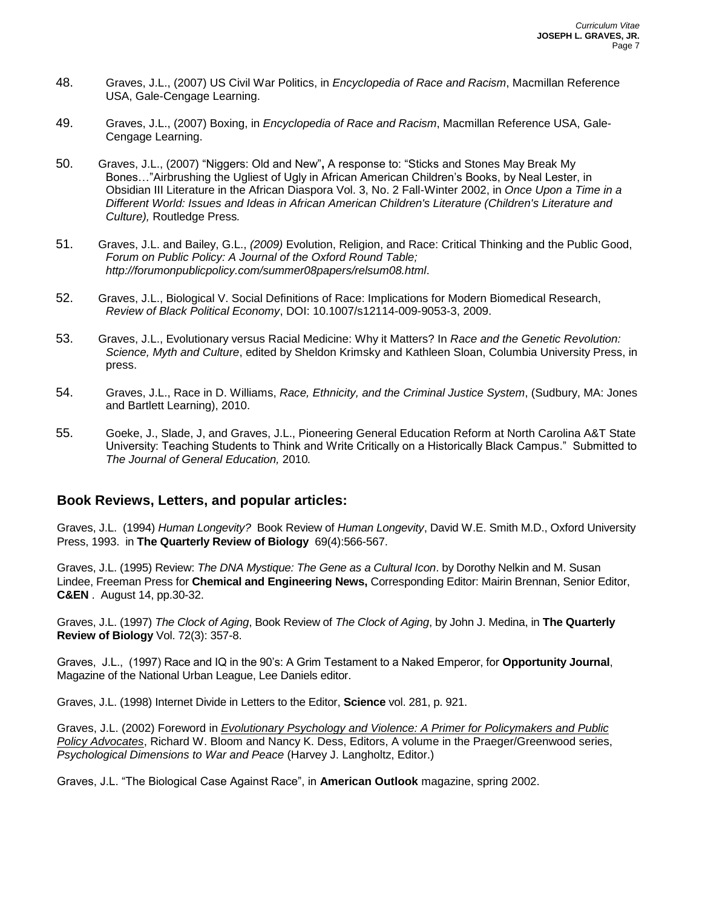- 48. Graves, J.L., (2007) US Civil War Politics, in *Encyclopedia of Race and Racism*, Macmillan Reference USA, Gale-Cengage Learning.
- 49. Graves, J.L., (2007) Boxing, in *Encyclopedia of Race and Racism*, Macmillan Reference USA, Gale-Cengage Learning.
- 50. Graves, J.L., (2007) "Niggers: Old and New"**,** A response to: "Sticks and Stones May Break My Bones…"Airbrushing the Ugliest of Ugly in African American Children's Books, by Neal Lester, in Obsidian III Literature in the African Diaspora Vol. 3, No. 2 Fall-Winter 2002, in *Once Upon a Time in a Different World: Issues and Ideas in African American Children's Literature (Children's Literature and Culture),* Routledge Press*.*
- 51. Graves, J.L. and Bailey, G.L., *(2009)* Evolution, Religion, and Race: Critical Thinking and the Public Good, *Forum on Public Policy: A Journal of the Oxford Round Table; http://forumonpublicpolicy.com/summer08papers/relsum08.html*.
- 52. Graves, J.L., Biological V. Social Definitions of Race: Implications for Modern Biomedical Research, *Review of Black Political Economy*, DOI: 10.1007/s12114-009-9053-3, 2009.
- 53. Graves, J.L., Evolutionary versus Racial Medicine: Why it Matters? In *Race and the Genetic Revolution: Science, Myth and Culture*, edited by Sheldon Krimsky and Kathleen Sloan, Columbia University Press, in press.
- 54. Graves, J.L., Race in D. Williams, *Race, Ethnicity, and the Criminal Justice System*, (Sudbury, MA: Jones and Bartlett Learning), 2010.
- 55. Goeke, J., Slade, J, and Graves, J.L., Pioneering General Education Reform at North Carolina A&T State University: Teaching Students to Think and Write Critically on a Historically Black Campus." Submitted to *The Journal of General Education,* 2010*.*

### **Book Reviews, Letters, and popular articles:**

Graves, J.L. (1994) *Human Longevity?* Book Review of *Human Longevity*, David W.E. Smith M.D., Oxford University Press, 1993. in **The Quarterly Review of Biology** 69(4):566-567.

Graves, J.L. (1995) Review: *The DNA Mystique: The Gene as a Cultural Icon*. by Dorothy Nelkin and M. Susan Lindee, Freeman Press for **Chemical and Engineering News,** Corresponding Editor: Mairin Brennan, Senior Editor, **C&EN** . August 14, pp.30-32.

Graves, J.L. (1997) *The Clock of Aging*, Book Review of *The Clock of Aging*, by John J. Medina, in **The Quarterly Review of Biology** Vol. 72(3): 357-8.

Graves, J.L., (1997) Race and IQ in the 90's: A Grim Testament to a Naked Emperor, for **Opportunity Journal**, Magazine of the National Urban League, Lee Daniels editor.

Graves, J.L. (1998) Internet Divide in Letters to the Editor, **Science** vol. 281, p. 921.

Graves, J.L. (2002) Foreword in *Evolutionary Psychology and Violence: A Primer for Policymakers and Public Policy Advocates*, Richard W. Bloom and Nancy K. Dess, Editors, A volume in the Praeger/Greenwood series, *Psychological Dimensions to War and Peace* (Harvey J. Langholtz, Editor.)

Graves, J.L. "The Biological Case Against Race", in **American Outlook** magazine, spring 2002.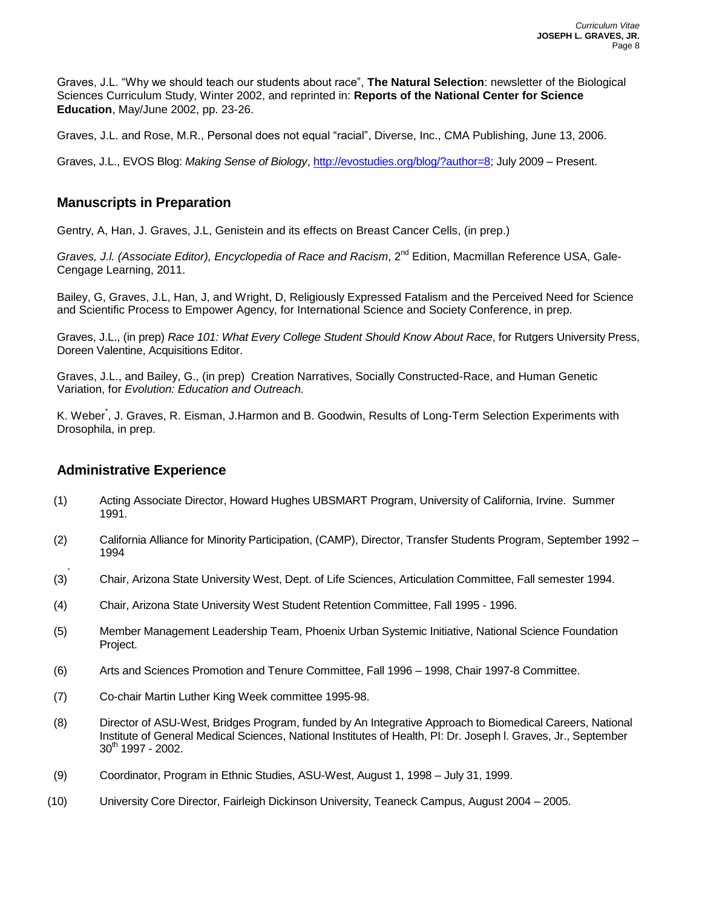Graves, J.L. "Why we should teach our students about race", **The Natural Selection**: newsletter of the Biological Sciences Curriculum Study, Winter 2002, and reprinted in: **Reports of the National Center for Science Education**, May/June 2002, pp. 23-26.

Graves, J.L. and Rose, M.R., Personal does not equal "racial", Diverse, Inc., CMA Publishing, June 13, 2006.

Graves, J.L., EVOS Blog: *Making Sense of Biology*, [http://evostudies.org/blog/?author=8;](http://evostudies.org/blog/?author=8) July 2009 – Present.

# **Manuscripts in Preparation**

Gentry, A, Han, J. Graves, J.L, Genistein and its effects on Breast Cancer Cells, (in prep.)

Graves, J.I. (Associate Editor), Encyclopedia of Race and Racism, 2<sup>nd</sup> Edition, Macmillan Reference USA, Gale-Cengage Learning, 2011.

Bailey, G, Graves, J.L, Han, J, and Wright, D, Religiously Expressed Fatalism and the Perceived Need for Science and Scientific Process to Empower Agency, for International Science and Society Conference, in prep.

Graves, J.L., (in prep) *Race 101: What Every College Student Should Know About Race*, for Rutgers University Press, Doreen Valentine, Acquisitions Editor.

Graves, J.L., and Bailey, G., (in prep) Creation Narratives, Socially Constructed-Race, and Human Genetic Variation, for *Evolution: Education and Outreach.*

K. Weber<sup>\*</sup>, J. Graves, R. Eisman, J.Harmon and B. Goodwin, Results of Long-Term Selection Experiments with Drosophila, in prep.

## **Administrative Experience**

- (1) Acting Associate Director, Howard Hughes UBSMART Program, University of California, Irvine. Summer 1991.
- (2) California Alliance for Minority Participation, (CAMP), Director, Transfer Students Program, September 1992 1994
- . (3) Chair, Arizona State University West, Dept. of Life Sciences, Articulation Committee, Fall semester 1994.
- (4) Chair, Arizona State University West Student Retention Committee, Fall 1995 1996.
- (5) Member Management Leadership Team, Phoenix Urban Systemic Initiative, National Science Foundation Project.
- (6) Arts and Sciences Promotion and Tenure Committee, Fall 1996 1998, Chair 1997-8 Committee.
- (7) Co-chair Martin Luther King Week committee 1995-98.
- (8) Director of ASU-West, Bridges Program, funded by An Integrative Approach to Biomedical Careers, National Institute of General Medical Sciences, National Institutes of Health, PI: Dr. Joseph l. Graves, Jr., September  $30^{th}$  1997 - 2002.
- (9) Coordinator, Program in Ethnic Studies, ASU-West, August 1, 1998 July 31, 1999.
- (10) University Core Director, Fairleigh Dickinson University, Teaneck Campus, August 2004 2005.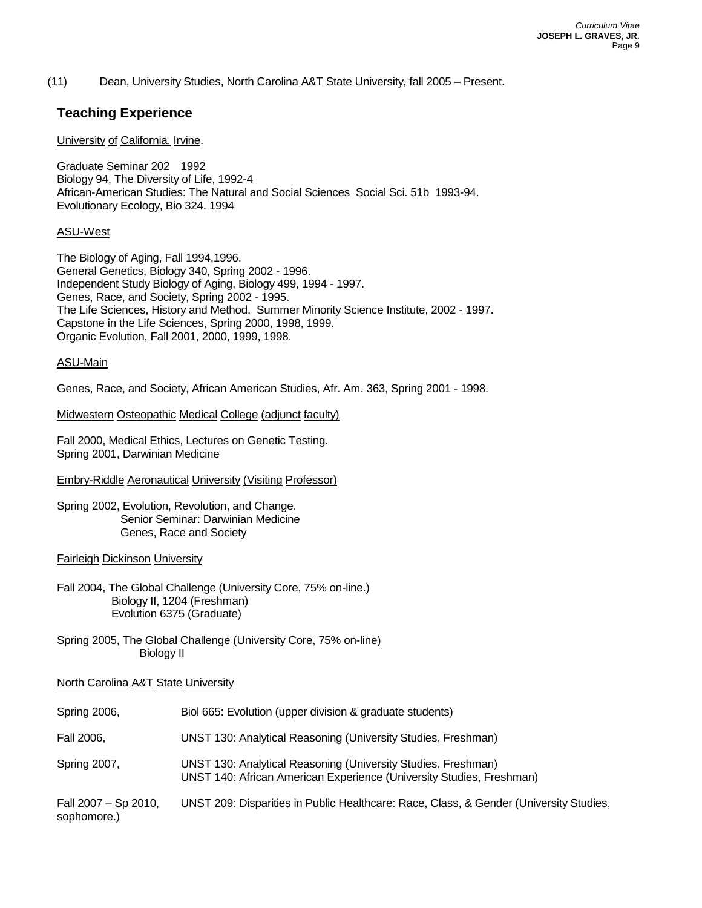(11) Dean, University Studies, North Carolina A&T State University, fall 2005 – Present.

## **Teaching Experience**

#### University of California, Irvine.

Graduate Seminar 202 1992 Biology 94, The Diversity of Life, 1992-4 African-American Studies: The Natural and Social Sciences Social Sci. 51b 1993-94. Evolutionary Ecology, Bio 324. 1994

#### ASU-West

The Biology of Aging, Fall 1994,1996. General Genetics, Biology 340, Spring 2002 - 1996. Independent Study Biology of Aging, Biology 499, 1994 - 1997. Genes, Race, and Society, Spring 2002 - 1995. The Life Sciences, History and Method. Summer Minority Science Institute, 2002 - 1997. Capstone in the Life Sciences, Spring 2000, 1998, 1999. Organic Evolution, Fall 2001, 2000, 1999, 1998.

#### ASU-Main

Genes, Race, and Society, African American Studies, Afr. Am. 363, Spring 2001 - 1998.

#### Midwestern Osteopathic Medical College (adjunct faculty)

Fall 2000, Medical Ethics, Lectures on Genetic Testing. Spring 2001, Darwinian Medicine

#### Embry-Riddle Aeronautical University (Visiting Professor)

Spring 2002, Evolution, Revolution, and Change. Senior Seminar: Darwinian Medicine Genes, Race and Society

#### Fairleigh Dickinson University

- Fall 2004, The Global Challenge (University Core, 75% on-line.) Biology II, 1204 (Freshman) Evolution 6375 (Graduate)
- Spring 2005, The Global Challenge (University Core, 75% on-line) Biology II

#### North Carolina A&T State University

| Spring 2006,                        | Biol 665: Evolution (upper division & graduate students)                                                                              |
|-------------------------------------|---------------------------------------------------------------------------------------------------------------------------------------|
| Fall 2006,                          | UNST 130: Analytical Reasoning (University Studies, Freshman)                                                                         |
| Spring 2007,                        | UNST 130: Analytical Reasoning (University Studies, Freshman)<br>UNST 140: African American Experience (University Studies, Freshman) |
| Fall 2007 - Sp 2010,<br>sophomore.) | UNST 209: Disparities in Public Healthcare: Race, Class, & Gender (University Studies,                                                |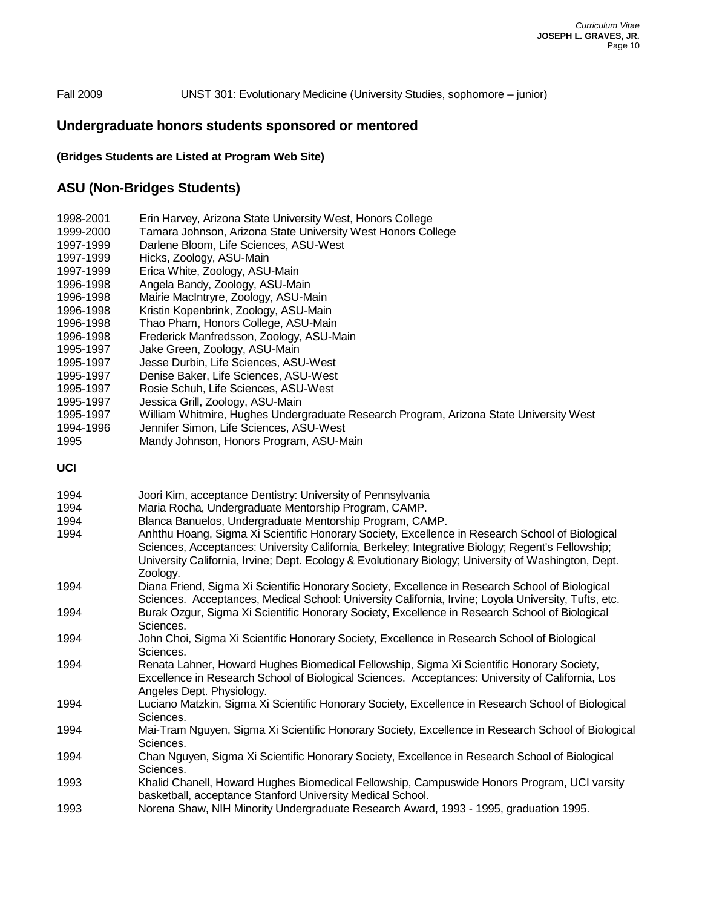#### Fall 2009 UNST 301: Evolutionary Medicine (University Studies, sophomore – junior)

## **Undergraduate honors students sponsored or mentored**

#### **(Bridges Students are Listed at Program Web Site)**

## **ASU (Non-Bridges Students)**

| 1998-2001 | Erin Harvey, Arizona State University West, Honors College                             |
|-----------|----------------------------------------------------------------------------------------|
| 1999-2000 | Tamara Johnson, Arizona State University West Honors College                           |
| 1997-1999 | Darlene Bloom, Life Sciences, ASU-West                                                 |
| 1997-1999 | Hicks, Zoology, ASU-Main                                                               |
| 1997-1999 | Erica White, Zoology, ASU-Main                                                         |
| 1996-1998 | Angela Bandy, Zoology, ASU-Main                                                        |
| 1996-1998 | Mairie MacIntryre, Zoology, ASU-Main                                                   |
| 1996-1998 | Kristin Kopenbrink, Zoology, ASU-Main                                                  |
| 1996-1998 | Thao Pham, Honors College, ASU-Main                                                    |
| 1996-1998 | Frederick Manfredsson, Zoology, ASU-Main                                               |
| 1995-1997 | Jake Green, Zoology, ASU-Main                                                          |
| 1995-1997 | Jesse Durbin, Life Sciences, ASU-West                                                  |
| 1995-1997 | Denise Baker, Life Sciences, ASU-West                                                  |
| 1995-1997 | Rosie Schuh, Life Sciences, ASU-West                                                   |
| 1995-1997 | Jessica Grill, Zoology, ASU-Main                                                       |
| 1995-1997 | William Whitmire, Hughes Undergraduate Research Program, Arizona State University West |
| 1994-1996 | Jennifer Simon, Life Sciences, ASU-West                                                |

1995 Mandy Johnson, Honors Program, ASU-Main

**UCI**

| 1994 | Joori Kim, acceptance Dentistry: University of Pennsylvania              |
|------|--------------------------------------------------------------------------|
| 1994 | Maria Rocha, Undergraduate Mentorship Program, CAMP.                     |
| 1994 | Blanca Banuelos, Undergraduate Mentorship Program, CAMP.                 |
| 1994 | Anhthu Hoang, Sigma Xi Scientific Honorary Society, Excellence in Resear |

- rch School of Biological Sciences, Acceptances: University California, Berkeley; Integrative Biology; Regent's Fellowship; University California, Irvine; Dept. Ecology & Evolutionary Biology; University of Washington, Dept. Zoology.
- 1994 Diana Friend, Sigma Xi Scientific Honorary Society, Excellence in Research School of Biological Sciences. Acceptances, Medical School: University California, Irvine; Loyola University, Tufts, etc. 1994 Burak Ozgur, Sigma Xi Scientific Honorary Society, Excellence in Research School of Biological
- Sciences. 1994 John Choi, Sigma Xi Scientific Honorary Society, Excellence in Research School of Biological
- Sciences.
- 1994 Renata Lahner, Howard Hughes Biomedical Fellowship, Sigma Xi Scientific Honorary Society, Excellence in Research School of Biological Sciences. Acceptances: University of California, Los Angeles Dept. Physiology.
- 1994 Luciano Matzkin, Sigma Xi Scientific Honorary Society, Excellence in Research School of Biological Sciences.
- 1994 Mai-Tram Nguyen, Sigma Xi Scientific Honorary Society, Excellence in Research School of Biological Sciences.
- 1994 Chan Nguyen, Sigma Xi Scientific Honorary Society, Excellence in Research School of Biological Sciences.
- 1993 Khalid Chanell, Howard Hughes Biomedical Fellowship, Campuswide Honors Program, UCI varsity basketball, acceptance Stanford University Medical School.
- 1993 Norena Shaw, NIH Minority Undergraduate Research Award, 1993 1995, graduation 1995.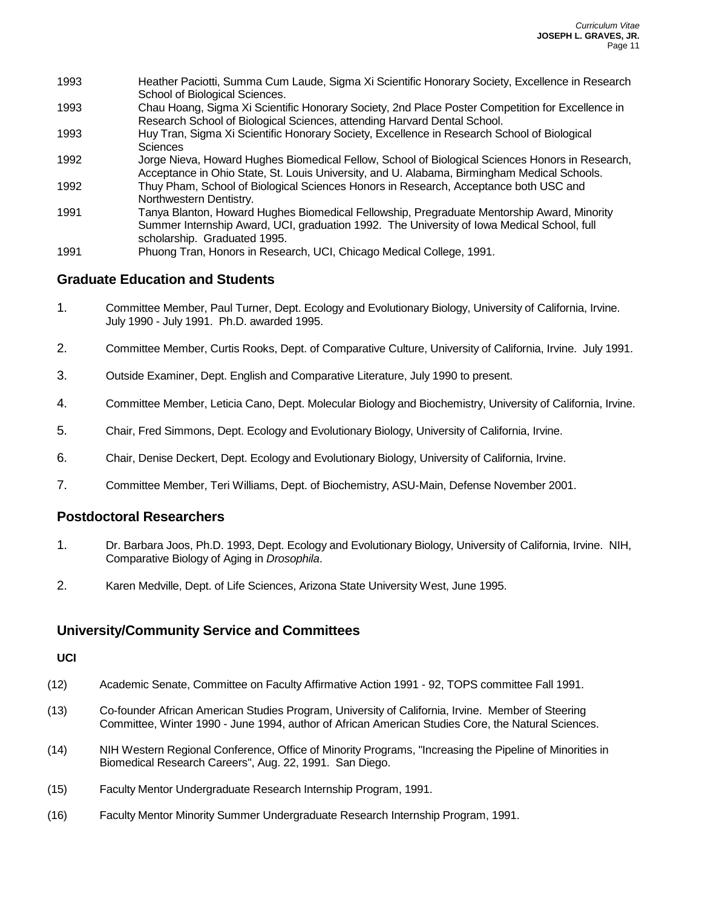| 1993 | Heather Paciotti, Summa Cum Laude, Sigma Xi Scientific Honorary Society, Excellence in Research  |
|------|--------------------------------------------------------------------------------------------------|
|      | School of Biological Sciences.                                                                   |
| 1993 | Chau Hoang, Sigma Xi Scientific Honorary Society, 2nd Place Poster Competition for Excellence in |
|      | Research School of Biological Sciences, attending Harvard Dental School.                         |
| 1993 | Huy Tran, Sigma Xi Scientific Honorary Society, Excellence in Research School of Biological      |
|      | Sciences                                                                                         |
| 1992 | Jorge Nieva, Howard Hughes Biomedical Fellow, School of Biological Sciences Honors in Research,  |
|      | Acceptance in Ohio State, St. Louis University, and U. Alabama, Birmingham Medical Schools.      |
| 1992 | Thuy Pham, School of Biological Sciences Honors in Research, Acceptance both USC and             |
|      | Northwestern Dentistry.                                                                          |
| 1991 | Tanya Blanton, Howard Hughes Biomedical Fellowship, Pregraduate Mentorship Award, Minority       |
|      | Summer Internship Award, UCI, graduation 1992. The University of Iowa Medical School, full       |
|      | scholarship. Graduated 1995.                                                                     |
| 1991 | Phuong Tran, Honors in Research, UCI, Chicago Medical College, 1991.                             |

# **Graduate Education and Students**

- 1. Committee Member, Paul Turner, Dept. Ecology and Evolutionary Biology, University of California, Irvine. July 1990 - July 1991. Ph.D. awarded 1995.
- 2. Committee Member, Curtis Rooks, Dept. of Comparative Culture, University of California, Irvine. July 1991.
- 3. Outside Examiner, Dept. English and Comparative Literature, July 1990 to present.
- 4. Committee Member, Leticia Cano, Dept. Molecular Biology and Biochemistry, University of California, Irvine.
- 5. Chair, Fred Simmons, Dept. Ecology and Evolutionary Biology, University of California, Irvine.
- 6. Chair, Denise Deckert, Dept. Ecology and Evolutionary Biology, University of California, Irvine.
- 7. Committee Member, Teri Williams, Dept. of Biochemistry, ASU-Main, Defense November 2001.

## **Postdoctoral Researchers**

- 1. Dr. Barbara Joos, Ph.D. 1993, Dept. Ecology and Evolutionary Biology, University of California, Irvine. NIH, Comparative Biology of Aging in *Drosophila*.
- 2. Karen Medville, Dept. of Life Sciences, Arizona State University West, June 1995.

## **University/Community Service and Committees**

#### **UCI**

- (12) Academic Senate, Committee on Faculty Affirmative Action 1991 92, TOPS committee Fall 1991.
- (13) Co-founder African American Studies Program, University of California, Irvine. Member of Steering Committee, Winter 1990 - June 1994, author of African American Studies Core, the Natural Sciences.
- (14) NIH Western Regional Conference, Office of Minority Programs, "Increasing the Pipeline of Minorities in Biomedical Research Careers", Aug. 22, 1991. San Diego.
- (15) Faculty Mentor Undergraduate Research Internship Program, 1991.
- (16) Faculty Mentor Minority Summer Undergraduate Research Internship Program, 1991.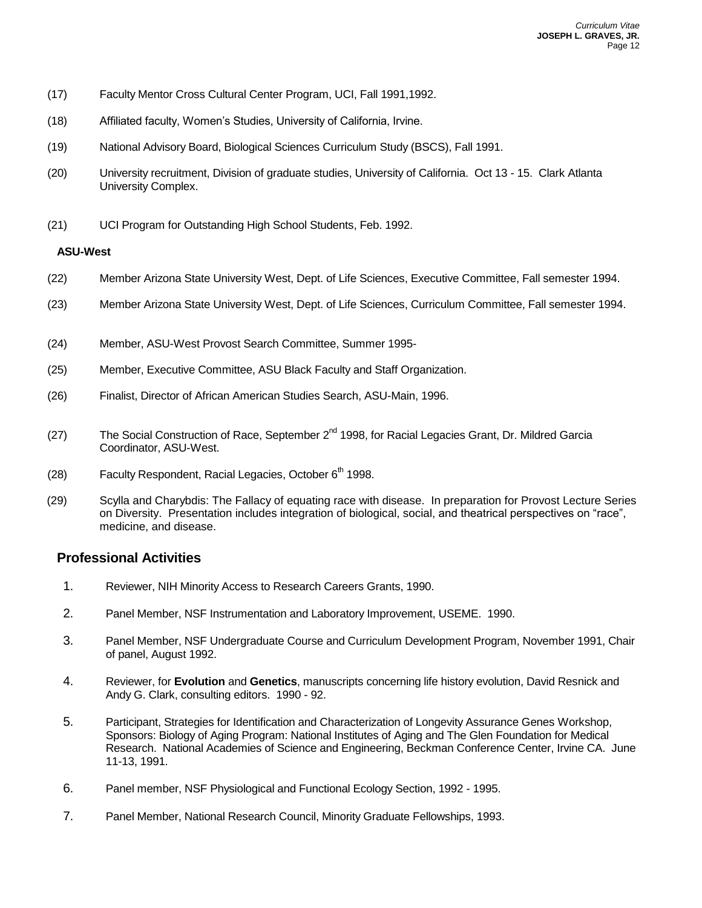- (17) Faculty Mentor Cross Cultural Center Program, UCI, Fall 1991,1992.
- (18) Affiliated faculty, Women's Studies, University of California, Irvine.
- (19) National Advisory Board, Biological Sciences Curriculum Study (BSCS), Fall 1991.
- (20) University recruitment, Division of graduate studies, University of California. Oct 13 15. Clark Atlanta University Complex.
- (21) UCI Program for Outstanding High School Students, Feb. 1992.

### **ASU-West**

- (22) Member Arizona State University West, Dept. of Life Sciences, Executive Committee, Fall semester 1994.
- (23) Member Arizona State University West, Dept. of Life Sciences, Curriculum Committee, Fall semester 1994.
- (24) Member, ASU-West Provost Search Committee, Summer 1995-
- (25) Member, Executive Committee, ASU Black Faculty and Staff Organization.
- (26) Finalist, Director of African American Studies Search, ASU-Main, 1996.
- (27) The Social Construction of Race, September  $2^{nd}$  1998, for Racial Legacies Grant, Dr. Mildred Garcia Coordinator, ASU-West.
- (28) Faculty Respondent, Racial Legacies, October  $6<sup>th</sup>$  1998.
- (29) Scylla and Charybdis: The Fallacy of equating race with disease. In preparation for Provost Lecture Series on Diversity. Presentation includes integration of biological, social, and theatrical perspectives on "race", medicine, and disease.

## **Professional Activities**

- 1. Reviewer, NIH Minority Access to Research Careers Grants, 1990.
- 2. Panel Member, NSF Instrumentation and Laboratory Improvement, USEME. 1990.
- 3. Panel Member, NSF Undergraduate Course and Curriculum Development Program, November 1991, Chair of panel, August 1992.
- 4. Reviewer, for **Evolution** and **Genetics**, manuscripts concerning life history evolution, David Resnick and Andy G. Clark, consulting editors. 1990 - 92.
- 5. Participant, Strategies for Identification and Characterization of Longevity Assurance Genes Workshop, Sponsors: Biology of Aging Program: National Institutes of Aging and The Glen Foundation for Medical Research. National Academies of Science and Engineering, Beckman Conference Center, Irvine CA. June 11-13, 1991.
- 6. Panel member, NSF Physiological and Functional Ecology Section, 1992 1995.
- 7. Panel Member, National Research Council, Minority Graduate Fellowships, 1993.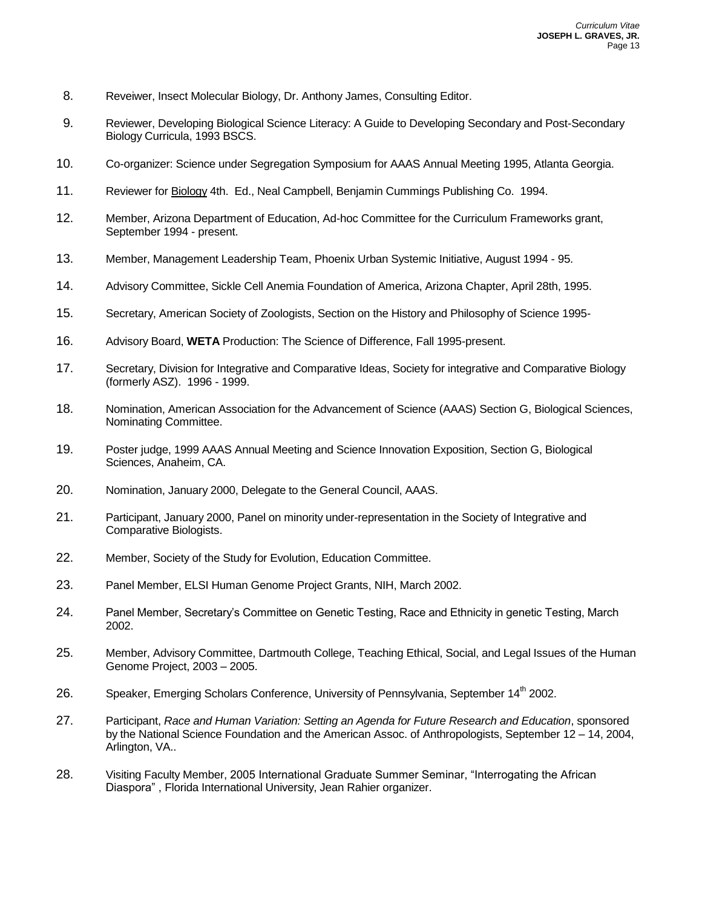- 8. Reveiwer, Insect Molecular Biology, Dr. Anthony James, Consulting Editor.
- 9. Reviewer, Developing Biological Science Literacy: A Guide to Developing Secondary and Post-Secondary Biology Curricula, 1993 BSCS.
- 10. Co-organizer: Science under Segregation Symposium for AAAS Annual Meeting 1995, Atlanta Georgia.
- 11. Reviewer for Biology 4th. Ed., Neal Campbell, Benjamin Cummings Publishing Co. 1994.
- 12. Member, Arizona Department of Education, Ad-hoc Committee for the Curriculum Frameworks grant, September 1994 - present.
- 13. Member, Management Leadership Team, Phoenix Urban Systemic Initiative, August 1994 95.
- 14. Advisory Committee, Sickle Cell Anemia Foundation of America, Arizona Chapter, April 28th, 1995.
- 15. Secretary, American Society of Zoologists, Section on the History and Philosophy of Science 1995-
- 16. Advisory Board, **WETA** Production: The Science of Difference, Fall 1995-present.
- 17. Secretary, Division for Integrative and Comparative Ideas, Society for integrative and Comparative Biology (formerly ASZ). 1996 - 1999.
- 18. Nomination, American Association for the Advancement of Science (AAAS) Section G, Biological Sciences, Nominating Committee.
- 19. Poster judge, 1999 AAAS Annual Meeting and Science Innovation Exposition, Section G, Biological Sciences, Anaheim, CA.
- 20. Nomination, January 2000, Delegate to the General Council, AAAS.
- 21. Participant, January 2000, Panel on minority under-representation in the Society of Integrative and Comparative Biologists.
- 22. Member, Society of the Study for Evolution, Education Committee.
- 23. Panel Member, ELSI Human Genome Project Grants, NIH, March 2002.
- 24. Panel Member, Secretary's Committee on Genetic Testing, Race and Ethnicity in genetic Testing, March 2002.
- 25. Member, Advisory Committee, Dartmouth College, Teaching Ethical, Social, and Legal Issues of the Human Genome Project, 2003 – 2005.
- 26. Speaker, Emerging Scholars Conference, University of Pennsylvania, September 14<sup>th</sup> 2002.
- 27. Participant, *Race and Human Variation: Setting an Agenda for Future Research and Education*, sponsored by the National Science Foundation and the American Assoc. of Anthropologists, September 12 – 14, 2004, Arlington, VA..
- 28. Visiting Faculty Member, 2005 International Graduate Summer Seminar, "Interrogating the African Diaspora" , Florida International University, Jean Rahier organizer.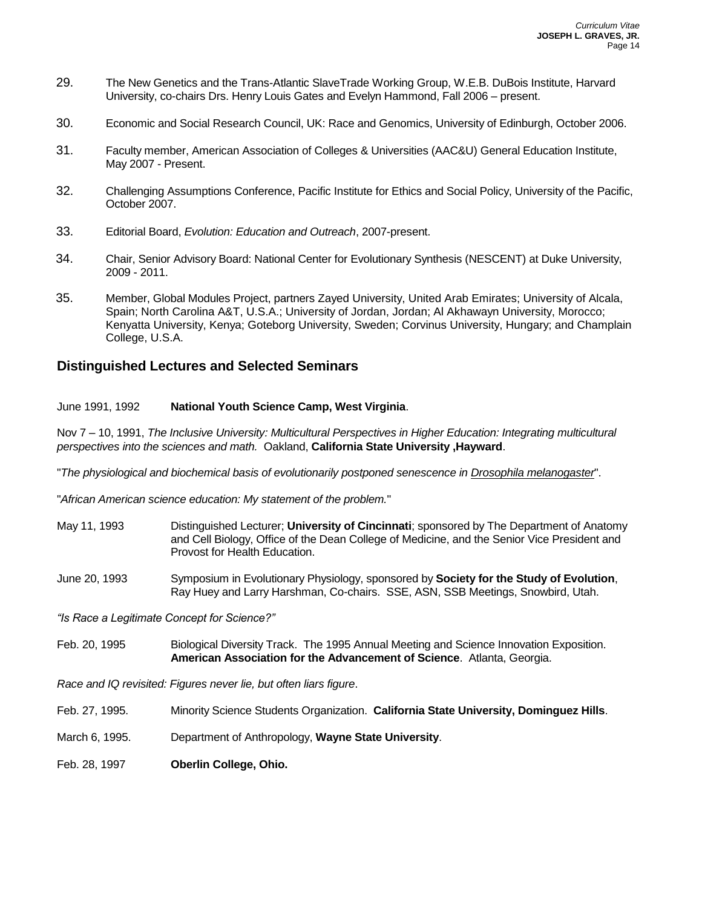- 29. The New Genetics and the Trans-Atlantic SlaveTrade Working Group, W.E.B. DuBois Institute, Harvard University, co-chairs Drs. Henry Louis Gates and Evelyn Hammond, Fall 2006 – present.
- 30. Economic and Social Research Council, UK: Race and Genomics, University of Edinburgh, October 2006.
- 31. Faculty member, American Association of Colleges & Universities (AAC&U) General Education Institute, May 2007 - Present.
- 32. Challenging Assumptions Conference, Pacific Institute for Ethics and Social Policy, University of the Pacific, October 2007.
- 33. Editorial Board, *Evolution: Education and Outreach*, 2007-present.
- 34. Chair, Senior Advisory Board: National Center for Evolutionary Synthesis (NESCENT) at Duke University, 2009 - 2011.
- 35. Member, Global Modules Project, partners Zayed University, United Arab Emirates; University of Alcala, Spain; North Carolina A&T, U.S.A.; University of Jordan, Jordan; Al Akhawayn University, Morocco; Kenyatta University, Kenya; Goteborg University, Sweden; Corvinus University, Hungary; and Champlain College, U.S.A.

## **Distinguished Lectures and Selected Seminars**

### June 1991, 1992 **National Youth Science Camp, West Virginia**.

Nov 7 – 10, 1991, *The Inclusive University: Multicultural Perspectives in Higher Education: Integrating multicultural perspectives into the sciences and math.* Oakland, **California State University ,Hayward**.

"*The physiological and biochemical basis of evolutionarily postponed senescence in Drosophila melanogaster*".

"*African American science education: My statement of the problem.*"

- May 11, 1993 Distinguished Lecturer; **University of Cincinnati**; sponsored by The Department of Anatomy and Cell Biology, Office of the Dean College of Medicine, and the Senior Vice President and Provost for Health Education.
- June 20, 1993 Symposium in Evolutionary Physiology, sponsored by **Society for the Study of Evolution**, Ray Huey and Larry Harshman, Co-chairs. SSE, ASN, SSB Meetings, Snowbird, Utah.

*"Is Race a Legitimate Concept for Science?"*

Feb. 20, 1995 Biological Diversity Track. The 1995 Annual Meeting and Science Innovation Exposition. **American Association for the Advancement of Science**. Atlanta, Georgia.

*Race and IQ revisited: Figures never lie, but often liars figure*.

- Feb. 27, 1995. Minority Science Students Organization. **California State University, Dominguez Hills**.
- March 6, 1995. Department of Anthropology, **Wayne State University**.
- Feb. 28, 1997 **Oberlin College, Ohio.**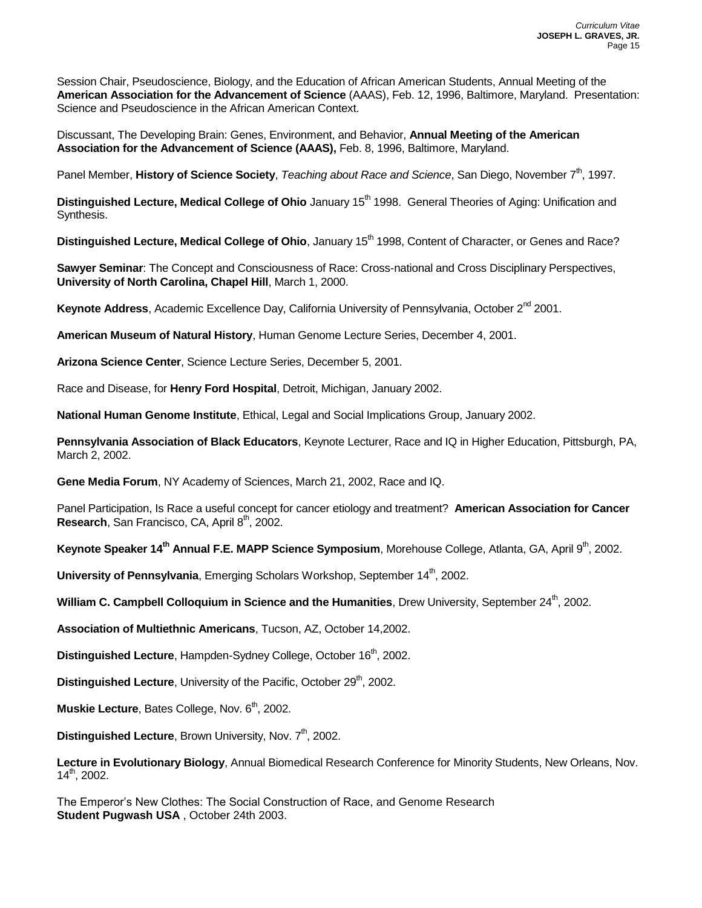Session Chair, Pseudoscience, Biology, and the Education of African American Students, Annual Meeting of the **American Association for the Advancement of Science** (AAAS), Feb. 12, 1996, Baltimore, Maryland. Presentation: Science and Pseudoscience in the African American Context.

Discussant, The Developing Brain: Genes, Environment, and Behavior, **Annual Meeting of the American Association for the Advancement of Science (AAAS),** Feb. 8, 1996, Baltimore, Maryland.

Panel Member, **History of Science Society**, *Teaching about Race and Science*, San Diego, November 7<sup>th</sup>, 1997.

**Distinguished Lecture, Medical College of Ohio** January 15<sup>th</sup> 1998. General Theories of Aging: Unification and Synthesis.

**Distinguished Lecture, Medical College of Ohio**, January 15<sup>th</sup> 1998, Content of Character, or Genes and Race?

**Sawyer Seminar**: The Concept and Consciousness of Race: Cross-national and Cross Disciplinary Perspectives, **University of North Carolina, Chapel Hill**, March 1, 2000.

Keynote Address, Academic Excellence Day, California University of Pennsylvania, October 2<sup>nd</sup> 2001.

**American Museum of Natural History**, Human Genome Lecture Series, December 4, 2001.

**Arizona Science Center**, Science Lecture Series, December 5, 2001.

Race and Disease, for **Henry Ford Hospital**, Detroit, Michigan, January 2002.

**National Human Genome Institute**, Ethical, Legal and Social Implications Group, January 2002.

**Pennsylvania Association of Black Educators**, Keynote Lecturer, Race and IQ in Higher Education, Pittsburgh, PA, March 2, 2002.

**Gene Media Forum**, NY Academy of Sciences, March 21, 2002, Race and IQ.

Panel Participation, Is Race a useful concept for cancer etiology and treatment? **American Association for Cancer Research**, San Francisco, CA, April 8<sup>th</sup>, 2002.

**Keynote Speaker 14<sup>th</sup> Annual F.E. MAPP Science Symposium, Morehouse College, Atlanta, GA, April 9<sup>th</sup>, 2002.** 

**University of Pennsylvania**, Emerging Scholars Workshop, September 14<sup>th</sup>, 2002.

**William C. Campbell Colloquium in Science and the Humanities**. Drew University, September 24<sup>th</sup>, 2002.

**Association of Multiethnic Americans**, Tucson, AZ, October 14,2002.

**Distinguished Lecture, Hampden-Sydney College, October 16<sup>th</sup>, 2002.** 

**Distinguished Lecture**, University of the Pacific, October 29<sup>th</sup>, 2002.

**Muskie Lecture**, Bates College, Nov. 6<sup>th</sup>, 2002.

**Distinguished Lecture, Brown University, Nov. 7<sup>th</sup>, 2002.** 

**Lecture in Evolutionary Biology**, Annual Biomedical Research Conference for Minority Students, New Orleans, Nov. 14th, 2002.

The Emperor's New Clothes: The Social Construction of Race, and Genome Research **Student Pugwash USA** , October 24th 2003.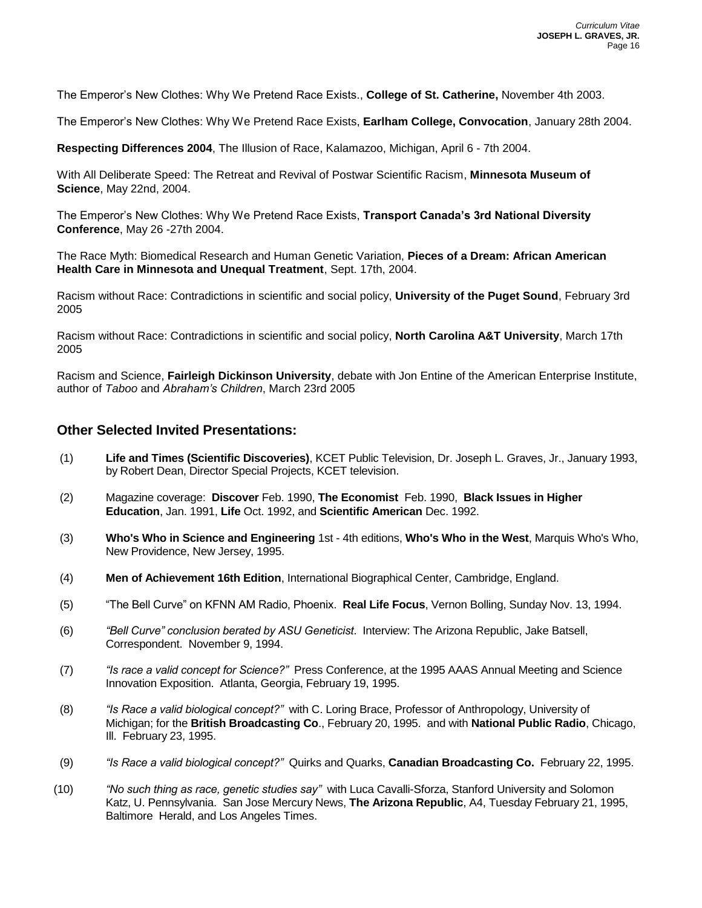The Emperor's New Clothes: Why We Pretend Race Exists., **College of St. Catherine,** November 4th 2003.

The Emperor's New Clothes: Why We Pretend Race Exists, **Earlham College, Convocation**, January 28th 2004.

**Respecting Differences 2004**, The Illusion of Race, Kalamazoo, Michigan, April 6 - 7th 2004.

With All Deliberate Speed: The Retreat and Revival of Postwar Scientific Racism, **Minnesota Museum of Science**, May 22nd, 2004.

The Emperor's New Clothes: Why We Pretend Race Exists, **Transport Canada's 3rd National Diversity Conference**, May 26 -27th 2004.

The Race Myth: Biomedical Research and Human Genetic Variation, **Pieces of a Dream: African American Health Care in Minnesota and Unequal Treatment**, Sept. 17th, 2004.

Racism without Race: Contradictions in scientific and social policy, **University of the Puget Sound**, February 3rd 2005

Racism without Race: Contradictions in scientific and social policy, **North Carolina A&T University**, March 17th 2005

Racism and Science, **Fairleigh Dickinson University**, debate with Jon Entine of the American Enterprise Institute, author of *Taboo* and *Abraham's Children*, March 23rd 2005

## **Other Selected Invited Presentations:**

- (1) **Life and Times (Scientific Discoveries)**, KCET Public Television, Dr. Joseph L. Graves, Jr., January 1993, by Robert Dean, Director Special Projects, KCET television.
- (2) Magazine coverage: **Discover** Feb. 1990, **The Economist** Feb. 1990, **Black Issues in Higher Education**, Jan. 1991, **Life** Oct. 1992, and **Scientific American** Dec. 1992.
- (3) **Who's Who in Science and Engineering** 1st 4th editions, **Who's Who in the West**, Marquis Who's Who, New Providence, New Jersey, 1995.
- (4) **Men of Achievement 16th Edition**, International Biographical Center, Cambridge, England.
- (5) "The Bell Curve" on KFNN AM Radio, Phoenix. **Real Life Focus**, Vernon Bolling, Sunday Nov. 13, 1994.
- (6) *"Bell Curve" conclusion berated by ASU Geneticist*. Interview: The Arizona Republic, Jake Batsell, Correspondent. November 9, 1994.
- (7) *"Is race a valid concept for Science?"* Press Conference, at the 1995 AAAS Annual Meeting and Science Innovation Exposition. Atlanta, Georgia, February 19, 1995.
- (8) *"Is Race a valid biological concept?"* with C. Loring Brace, Professor of Anthropology, University of Michigan; for the **British Broadcasting Co**., February 20, 1995. and with **National Public Radio**, Chicago, Ill. February 23, 1995.
- (9) *"Is Race a valid biological concept?"* Quirks and Quarks, **Canadian Broadcasting Co.** February 22, 1995.
- (10) *"No such thing as race, genetic studies say"* with Luca Cavalli-Sforza, Stanford University and Solomon Katz, U. Pennsylvania. San Jose Mercury News, **The Arizona Republic**, A4, Tuesday February 21, 1995, Baltimore Herald, and Los Angeles Times.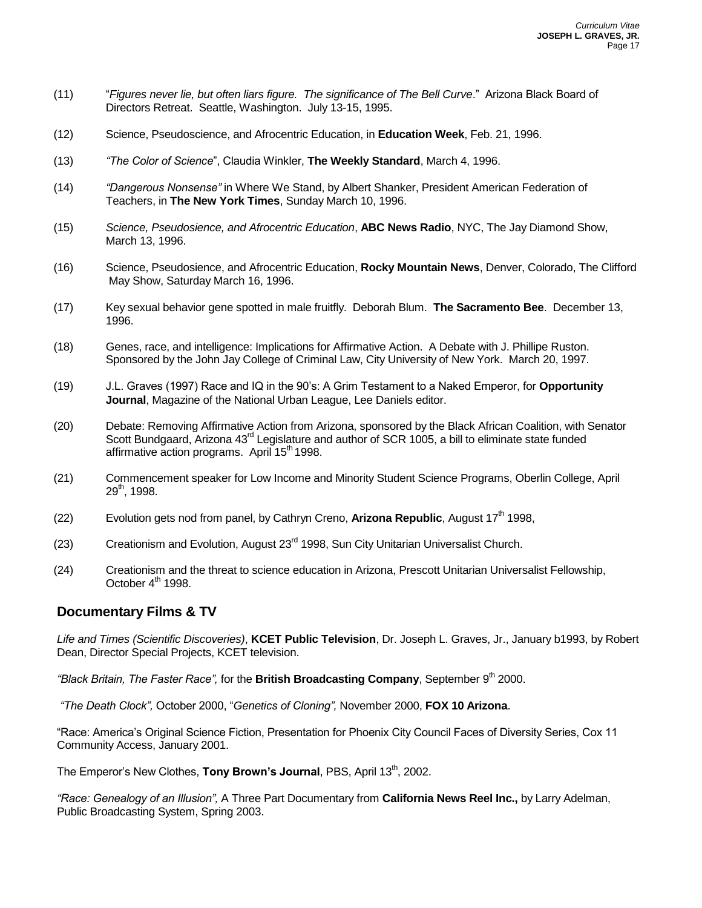- (11) "*Figures never lie, but often liars figure. The significance of The Bell Curve*." Arizona Black Board of Directors Retreat. Seattle, Washington. July 13-15, 1995.
- (12) Science, Pseudoscience, and Afrocentric Education, in **Education Week**, Feb. 21, 1996.
- (13) *"The Color of Science*", Claudia Winkler, **The Weekly Standard**, March 4, 1996.
- (14) *"Dangerous Nonsense"* in Where We Stand, by Albert Shanker, President American Federation of Teachers, in **The New York Times**, Sunday March 10, 1996.
- (15) *Science, Pseudosience, and Afrocentric Education*, **ABC News Radio**, NYC, The Jay Diamond Show, March 13, 1996.
- (16) Science, Pseudosience, and Afrocentric Education, **Rocky Mountain News**, Denver, Colorado, The Clifford May Show, Saturday March 16, 1996.
- (17) Key sexual behavior gene spotted in male fruitfly. Deborah Blum. **The Sacramento Bee**. December 13, 1996.
- (18) Genes, race, and intelligence: Implications for Affirmative Action. A Debate with J. Phillipe Ruston. Sponsored by the John Jay College of Criminal Law, City University of New York. March 20, 1997.
- (19) J.L. Graves (1997) Race and IQ in the 90's: A Grim Testament to a Naked Emperor, for **Opportunity Journal**, Magazine of the National Urban League, Lee Daniels editor.
- (20) Debate: Removing Affirmative Action from Arizona, sponsored by the Black African Coalition, with Senator Scott Bundgaard, Arizona 43<sup>rd</sup> Legislature and author of SCR 1005, a bill to eliminate state funded affirmative action programs. April 15<sup>th</sup> 1998.
- (21) Commencement speaker for Low Income and Minority Student Science Programs, Oberlin College, April  $29^{th}$ , 1998.
- (22) Evolution gets nod from panel, by Cathryn Creno, **Arizona Republic**, August 17<sup>th</sup> 1998,
- (23) Creationism and Evolution, August 23<sup>rd</sup> 1998, Sun City Unitarian Universalist Church.
- (24) Creationism and the threat to science education in Arizona, Prescott Unitarian Universalist Fellowship, October  $4^{\text{th}}$  1998.

### **Documentary Films & TV**

*Life and Times (Scientific Discoveries)*, **KCET Public Television**, Dr. Joseph L. Graves, Jr., January b1993, by Robert Dean, Director Special Projects, KCET television.

*"Black Britain, The Faster Race",* for the **British Broadcasting Company**, September 9th 2000.

*"The Death Clock",* October 2000, "*Genetics of Cloning",* November 2000, **FOX 10 Arizona**.

"Race: America's Original Science Fiction, Presentation for Phoenix City Council Faces of Diversity Series, Cox 11 Community Access, January 2001.

The Emperor's New Clothes, **Tony Brown's Journal**, PBS, April 13<sup>th</sup>, 2002.

*"Race: Genealogy of an Illusion",* A Three Part Documentary from **California News Reel Inc.,** by Larry Adelman, Public Broadcasting System, Spring 2003.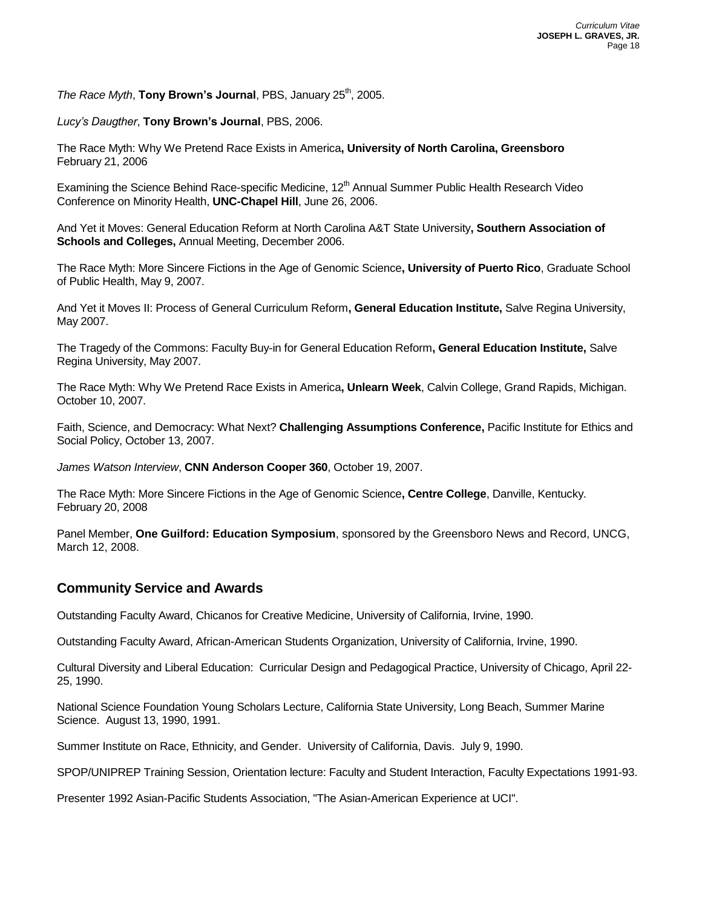*The Race Myth*, **Tony Brown's Journal**, PBS, January 25<sup>th</sup>, 2005.

*Lucy's Daugther*, **Tony Brown's Journal**, PBS, 2006.

The Race Myth: Why We Pretend Race Exists in America**, University of North Carolina, Greensboro** February 21, 2006

Examining the Science Behind Race-specific Medicine, 12<sup>th</sup> Annual Summer Public Health Research Video Conference on Minority Health, **UNC-Chapel Hill**, June 26, 2006.

And Yet it Moves: General Education Reform at North Carolina A&T State University**, Southern Association of Schools and Colleges,** Annual Meeting, December 2006.

The Race Myth: More Sincere Fictions in the Age of Genomic Science**, University of Puerto Rico**, Graduate School of Public Health, May 9, 2007.

And Yet it Moves II: Process of General Curriculum Reform**, General Education Institute,** Salve Regina University, May 2007.

The Tragedy of the Commons: Faculty Buy-in for General Education Reform**, General Education Institute,** Salve Regina University, May 2007.

The Race Myth: Why We Pretend Race Exists in America**, Unlearn Week**, Calvin College, Grand Rapids, Michigan. October 10, 2007.

Faith, Science, and Democracy: What Next? **Challenging Assumptions Conference,** Pacific Institute for Ethics and Social Policy, October 13, 2007.

*James Watson Interview*, **CNN Anderson Cooper 360**, October 19, 2007.

The Race Myth: More Sincere Fictions in the Age of Genomic Science**, Centre College**, Danville, Kentucky. February 20, 2008

Panel Member, **One Guilford: Education Symposium**, sponsored by the Greensboro News and Record, UNCG, March 12, 2008.

## **Community Service and Awards**

Outstanding Faculty Award, Chicanos for Creative Medicine, University of California, Irvine, 1990.

Outstanding Faculty Award, African-American Students Organization, University of California, Irvine, 1990.

Cultural Diversity and Liberal Education: Curricular Design and Pedagogical Practice, University of Chicago, April 22- 25, 1990.

National Science Foundation Young Scholars Lecture, California State University, Long Beach, Summer Marine Science. August 13, 1990, 1991.

Summer Institute on Race, Ethnicity, and Gender. University of California, Davis. July 9, 1990.

SPOP/UNIPREP Training Session, Orientation lecture: Faculty and Student Interaction, Faculty Expectations 1991-93.

Presenter 1992 Asian-Pacific Students Association, "The Asian-American Experience at UCI".